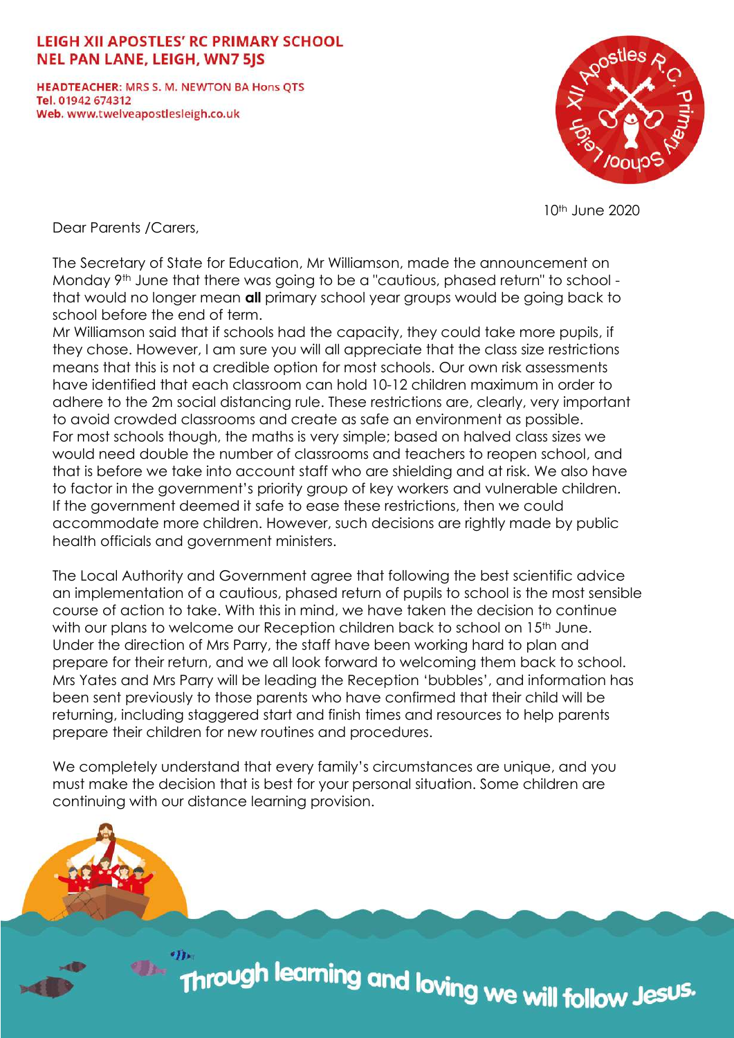## **LEIGH XII APOSTLES' RC PRIMARY SCHOOL NEL PAN LANE, LEIGH, WN7 5JS**

**HEADTEACHER: MRS S. M. NEWTON BA Hons OTS** Tel. 01942 674312 Web. www.twelveapostlesleigh.co.uk



10th June 2020

Dear Parents /Carers,

The Secretary of State for Education, Mr Williamson, made the announcement on Monday 9<sup>th</sup> June that there was going to be a "cautious, phased return" to school that would no longer mean **all** primary school year groups would be going back to school before the end of term.

Mr Williamson said that if schools had the capacity, they could take more pupils, if they chose. However, I am sure you will all appreciate that the class size restrictions means that this is not a credible option for most schools. Our own risk assessments have identified that each classroom can hold 10-12 children maximum in order to adhere to the 2m social distancing rule. These restrictions are, clearly, very important to avoid crowded classrooms and create as safe an environment as possible. For most schools though, the maths is very simple; based on halved class sizes we would need double the number of classrooms and teachers to reopen school, and that is before we take into account staff who are shielding and at risk. We also have to factor in the government's priority group of key workers and vulnerable children. If the government deemed it safe to ease these restrictions, then we could accommodate more children. However, such decisions are rightly made by public health officials and government ministers.

The Local Authority and Government agree that following the best scientific advice an implementation of a cautious, phased return of pupils to school is the most sensible course of action to take. With this in mind, we have taken the decision to continue with our plans to welcome our Reception children back to school on 15<sup>th</sup> June. Under the direction of Mrs Parry, the staff have been working hard to plan and prepare for their return, and we all look forward to welcoming them back to school. Mrs Yates and Mrs Parry will be leading the Reception 'bubbles', and information has been sent previously to those parents who have confirmed that their child will be returning, including staggered start and finish times and resources to help parents prepare their children for new routines and procedures.

We completely understand that every family's circumstances are unique, and you must make the decision that is best for your personal situation. Some children are continuing with our distance learning provision.

m<br>Through learning and loving we will follow Jes<sup>us.</sup>